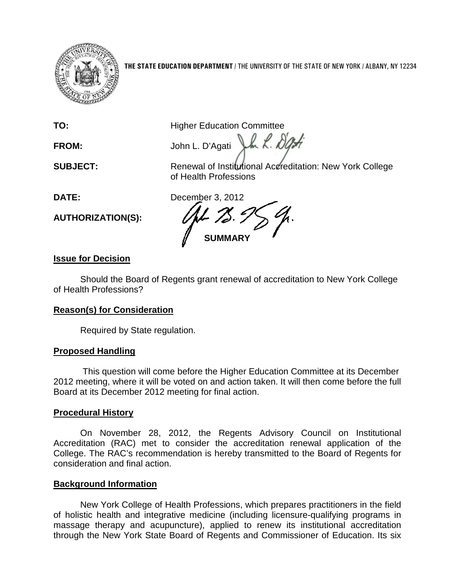

**THE STATE EDUCATION DEPARTMENT** / THE UNIVERSITY OF THE STATE OF NEW YORK / ALBANY, NY 12234

LL L DB

**TO:** Higher Education Committee

**FROM:** John L. D'Agati

**SUBJECT:** Renewal of Institutional Accreditation: New York College of Health Professions

**AUTHORIZATION(S):**

**DATE:** December 3, 2012 **SUMMARY**

# **Issue for Decision**

Should the Board of Regents grant renewal of accreditation to New York College of Health Professions?

## **Reason(s) for Consideration**

Required by State regulation.

## **Proposed Handling**

This question will come before the Higher Education Committee at its December 2012 meeting, where it will be voted on and action taken. It will then come before the full Board at its December 2012 meeting for final action.

## **Procedural History**

On November 28, 2012, the Regents Advisory Council on Institutional Accreditation (RAC) met to consider the accreditation renewal application of the College. The RAC's recommendation is hereby transmitted to the Board of Regents for consideration and final action.

## **Background Information**

New York College of Health Professions, which prepares practitioners in the field of holistic health and integrative medicine (including licensure-qualifying programs in massage therapy and acupuncture), applied to renew its institutional accreditation through the New York State Board of Regents and Commissioner of Education. Its six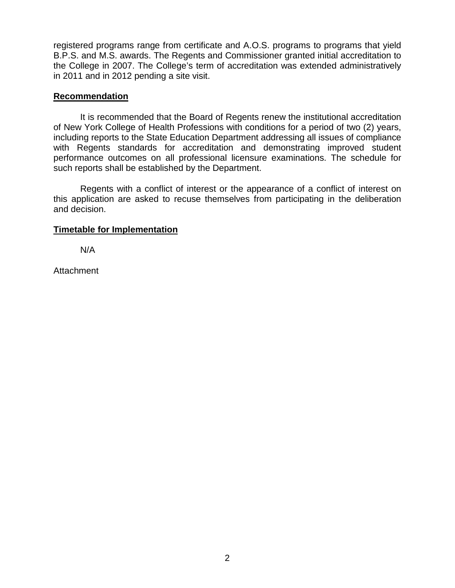registered programs range from certificate and A.O.S. programs to programs that yield B.P.S. and M.S. awards. The Regents and Commissioner granted initial accreditation to the College in 2007. The College's term of accreditation was extended administratively in 2011 and in 2012 pending a site visit.

### **Recommendation**

It is recommended that the Board of Regents renew the institutional accreditation of New York College of Health Professions with conditions for a period of two (2) years, including reports to the State Education Department addressing all issues of compliance with Regents standards for accreditation and demonstrating improved student performance outcomes on all professional licensure examinations. The schedule for such reports shall be established by the Department.

Regents with a conflict of interest or the appearance of a conflict of interest on this application are asked to recuse themselves from participating in the deliberation and decision.

### **Timetable for Implementation**

N/A

Attachment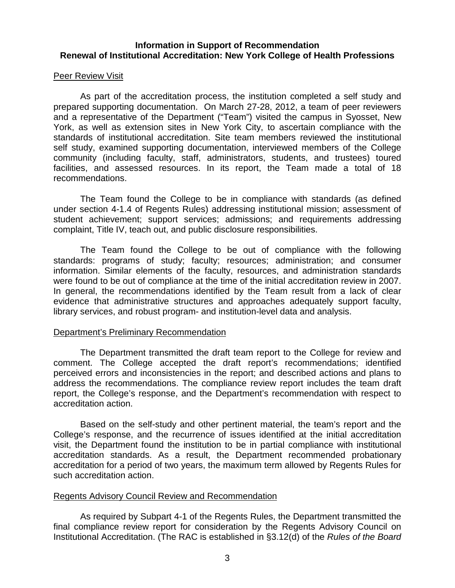### **Information in Support of Recommendation Renewal of Institutional Accreditation: New York College of Health Professions**

### Peer Review Visit

As part of the accreditation process, the institution completed a self study and prepared supporting documentation. On March 27-28, 2012, a team of peer reviewers and a representative of the Department ("Team") visited the campus in Syosset, New York, as well as extension sites in New York City, to ascertain compliance with the standards of institutional accreditation. Site team members reviewed the institutional self study, examined supporting documentation, interviewed members of the College community (including faculty, staff, administrators, students, and trustees) toured facilities, and assessed resources. In its report, the Team made a total of 18 recommendations.

The Team found the College to be in compliance with standards (as defined under section 4-1.4 of Regents Rules) addressing institutional mission; assessment of student achievement; support services; admissions; and requirements addressing complaint, Title IV, teach out, and public disclosure responsibilities.

The Team found the College to be out of compliance with the following standards: programs of study; faculty; resources; administration; and consumer information. Similar elements of the faculty, resources, and administration standards were found to be out of compliance at the time of the initial accreditation review in 2007. In general, the recommendations identified by the Team result from a lack of clear evidence that administrative structures and approaches adequately support faculty, library services, and robust program- and institution-level data and analysis.

#### Department's Preliminary Recommendation

The Department transmitted the draft team report to the College for review and comment. The College accepted the draft report's recommendations; identified perceived errors and inconsistencies in the report; and described actions and plans to address the recommendations. The compliance review report includes the team draft report, the College's response, and the Department's recommendation with respect to accreditation action.

Based on the self-study and other pertinent material, the team's report and the College's response, and the recurrence of issues identified at the initial accreditation visit, the Department found the institution to be in partial compliance with institutional accreditation standards. As a result, the Department recommended probationary accreditation for a period of two years, the maximum term allowed by Regents Rules for such accreditation action.

### Regents Advisory Council Review and Recommendation

As required by Subpart 4-1 of the Regents Rules, the Department transmitted the final compliance review report for consideration by the Regents Advisory Council on Institutional Accreditation. (The RAC is established in §3.12(d) of the *Rules of the Board*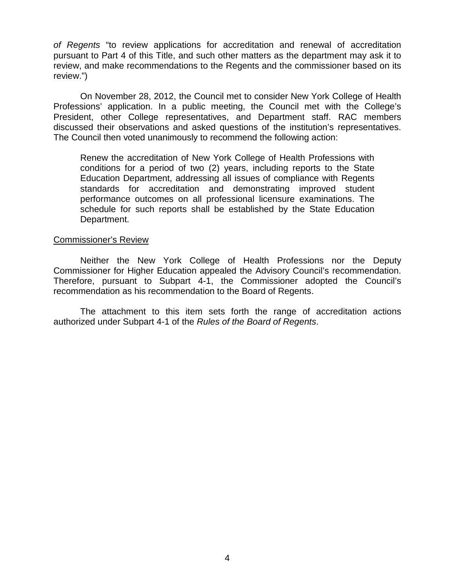*of Regents* "to review applications for accreditation and renewal of accreditation pursuant to Part 4 of this Title, and such other matters as the department may ask it to review, and make recommendations to the Regents and the commissioner based on its review.")

On November 28, 2012, the Council met to consider New York College of Health Professions' application. In a public meeting, the Council met with the College's President, other College representatives, and Department staff. RAC members discussed their observations and asked questions of the institution's representatives. The Council then voted unanimously to recommend the following action:

Renew the accreditation of New York College of Health Professions with conditions for a period of two (2) years, including reports to the State Education Department, addressing all issues of compliance with Regents standards for accreditation and demonstrating improved student performance outcomes on all professional licensure examinations. The schedule for such reports shall be established by the State Education Department.

#### Commissioner's Review

Neither the New York College of Health Professions nor the Deputy Commissioner for Higher Education appealed the Advisory Council's recommendation. Therefore, pursuant to Subpart 4-1, the Commissioner adopted the Council's recommendation as his recommendation to the Board of Regents.

The attachment to this item sets forth the range of accreditation actions authorized under Subpart 4-1 of the *Rules of the Board of Regents*.